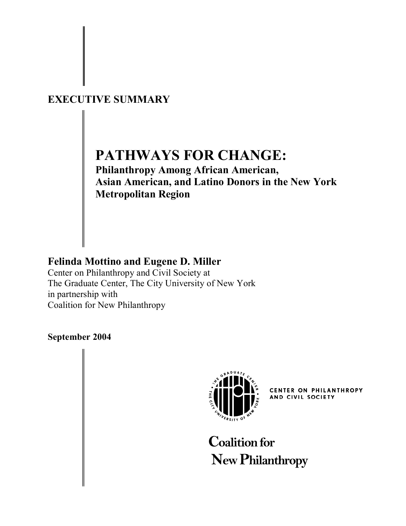# **EXECUTIVE SUMMARY**

# **PATHWAYS FOR CHANGE:**

**Philanthropy Among African American, Asian American, and Latino Donors in the New York Metropolitan Region** 

# **Felinda Mottino and Eugene D. Miller**

Center on Philanthropy and Civil Society at The Graduate Center, The City University of New York in partnership with Coalition for New Philanthropy

# **September 2004**



CENTER ON PHILANTHROPY AND CIVIL SOCIETY

**Coalition for New Philanthropy**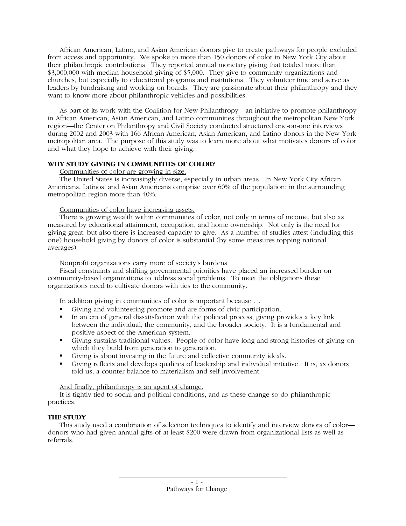African American, Latino, and Asian American donors give to create pathways for people excluded from access and opportunity. We spoke to more than 150 donors of color in New York City about their philanthropic contributions. They reported annual monetary giving that totaled more than \$3,000,000 with median household giving of \$5,000. They give to community organizations and churches, but especially to educational programs and institutions. They volunteer time and serve as leaders by fundraising and working on boards. They are passionate about their philanthropy and they want to know more about philanthropic vehicles and possibilities.

As part of its work with the Coalition for New Philanthropy—an initiative to promote philanthropy in African American, Asian American, and Latino communities throughout the metropolitan New York region—the Center on Philanthropy and Civil Society conducted structured one-on-one interviews during 2002 and 2003 with 166 African American, Asian American, and Latino donors in the New York metropolitan area. The purpose of this study was to learn more about what motivates donors of color and what they hope to achieve with their giving.

#### **WHY STUDY GIVING IN COMMUNITIES OF COLOR?**

Communities of color are growing in size.

The United States is increasingly diverse, especially in urban areas. In New York City African Americans, Latinos, and Asian Americans comprise over 60% of the population; in the surrounding metropolitan region more than 40%.

#### Communities of color have increasing assets.

There is growing wealth within communities of color, not only in terms of income, but also as measured by educational attainment, occupation, and home ownership. Not only is the need for giving great, but also there is increased capacity to give. As a number of studies attest (including this one) household giving by donors of color is substantial (by some measures topping national averages).

#### Nonprofit organizations carry more of society's burdens.

Fiscal constraints and shifting governmental priorities have placed an increased burden on community-based organizations to address social problems. To meet the obligations these organizations need to cultivate donors with ties to the community.

In addition giving in communities of color is important because …

- Giving and volunteering promote and are forms of civic participation.
- In an era of general dissatisfaction with the political process, giving provides a key link between the individual, the community, and the broader society. It is a fundamental and positive aspect of the American system.
- Giving sustains traditional values. People of color have long and strong histories of giving on which they build from generation to generation.
- Giving is about investing in the future and collective community ideals.
- Giving reflects and develops qualities of leadership and individual initiative. It is, as donors told us, a counter-balance to materialism and self-involvement.

And finally, philanthropy is an agent of change.

It is tightly tied to social and political conditions, and as these change so do philanthropic practices.

# **THE STUDY**

This study used a combination of selection techniques to identify and interview donors of color donors who had given annual gifts of at least \$200 were drawn from organizational lists as well as referrals.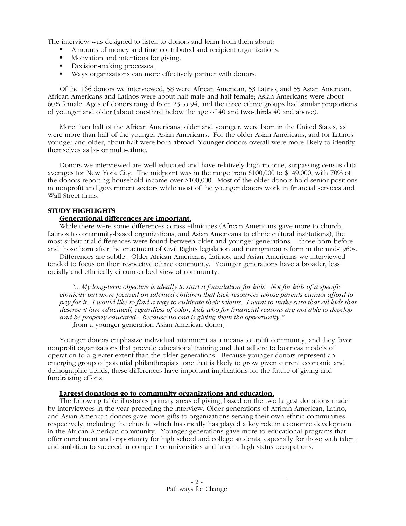The interview was designed to listen to donors and learn from them about:

- Amounts of money and time contributed and recipient organizations.
- **Motivation and intentions for giving.**
- **Decision-making processes.**
- Ways organizations can more effectively partner with donors.

Of the 166 donors we interviewed, 58 were African American, 53 Latino, and 55 Asian American. African Americans and Latinos were about half male and half female; Asian Americans were about 60% female. Ages of donors ranged from 23 to 94, and the three ethnic groups had similar proportions of younger and older (about one-third below the age of 40 and two-thirds 40 and above).

More than half of the African Americans, older and younger, were born in the United States, as were more than half of the younger Asian Americans. For the older Asian Americans, and for Latinos younger and older, about half were born abroad. Younger donors overall were more likely to identify themselves as bi- or multi-ethnic.

Donors we interviewed are well educated and have relatively high income, surpassing census data averages for New York City. The midpoint was in the range from \$100,000 to \$149,000, with 70% of the donors reporting household income over \$100,000. Most of the older donors hold senior positions in nonprofit and government sectors while most of the younger donors work in financial services and Wall Street firms.

#### **STUDY HIGHLIGHTS**

### **Generational differences are important.**

While there were some differences across ethnicities (African Americans gave more to church, Latinos to community-based organizations, and Asian Americans to ethnic cultural institutions), the most substantial differences were found between older and younger generations— those born before and those born after the enactment of Civil Rights legislation and immigration reform in the mid-1960s.

Differences are subtle. Older African Americans, Latinos, and Asian Americans we interviewed tended to focus on their respective ethnic community. Younger generations have a broader, less racially and ethnically circumscribed view of community.

*"…My long-term objective is ideally to start a foundation for kids. Not for kids of a specific ethnicity but more focused on talented children that lack resources whose parents cannot afford to pay for it. I would like to find a way to cultivate their talents. I want to make sure that all kids that deserve it [are educated], regardless of color, kids who for financial reasons are not able to develop and be properly educated…because no one is giving them the opportunity."* [from a younger generation Asian American donor]

Younger donors emphasize individual attainment as a means to uplift community, and they favor nonprofit organizations that provide educational training and that adhere to business models of operation to a greater extent than the older generations. Because younger donors represent an emerging group of potential philanthropists, one that is likely to grow given current economic and demographic trends, these differences have important implications for the future of giving and fundraising efforts.

#### **Largest donations go to community organizations and education.**

The following table illustrates primary areas of giving, based on the two largest donations made by interviewees in the year preceding the interview. Older generations of African American, Latino, and Asian American donors gave more gifts to organizations serving their own ethnic communities respectively, including the church, which historically has played a key role in economic development in the African American community. Younger generations gave more to educational programs that offer enrichment and opportunity for high school and college students, especially for those with talent and ambition to succeed in competitive universities and later in high status occupations.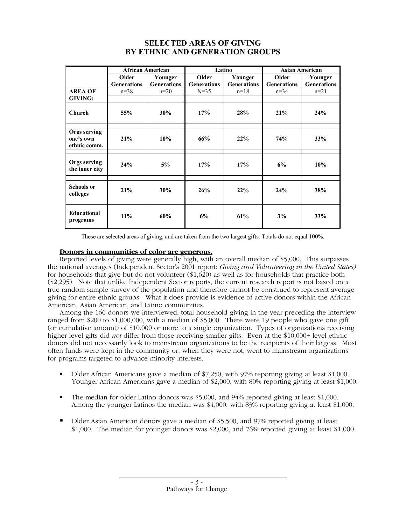# **SELECTED AREAS OF GIVING BY ETHNIC AND GENERATION GROUPS**

|                                           | <b>African American</b> |                    | Latino             |                    | <b>Asian American</b> |                    |
|-------------------------------------------|-------------------------|--------------------|--------------------|--------------------|-----------------------|--------------------|
|                                           | Older                   | Younger            | Older              | Younger            | Older                 | Younger            |
|                                           | <b>Generations</b>      | <b>Generations</b> | <b>Generations</b> | <b>Generations</b> | <b>Generations</b>    | <b>Generations</b> |
| <b>AREA OF</b>                            | $n = 38$                | $n=20$             | $N=35$             | $n=18$             | $n=34$                | $n=21$             |
| <b>GIVING:</b>                            |                         |                    |                    |                    |                       |                    |
| Church                                    | 55%                     | 30%                | 17%                | 28%                | 21%                   | 24%                |
|                                           |                         |                    |                    |                    |                       |                    |
| Orgs serving<br>one's own<br>ethnic comm. | 21%                     | 10%                | 66%                | 22%                | 74%                   | 33%                |
|                                           |                         |                    |                    |                    |                       |                    |
| Orgs serving<br>the inner city            | 24%                     | 5%                 | 17%                | 17%                | 6%                    | 10%                |
|                                           |                         |                    |                    |                    |                       |                    |
| <b>Schools or</b><br>colleges             | 21%                     | 30%                | 26%                | 22%                | 24%                   | 38%                |
|                                           |                         |                    |                    |                    |                       |                    |
| Educational<br>programs                   | 11%                     | 60%                | 6%                 | 61%                | 3%                    | 33%                |

These are selected areas of giving, and are taken from the two largest gifts. Totals do not equal 100%.

# **Donors in communities of color are generous.**

Reported levels of giving were generally high, with an overall median of \$5,000. This surpasses the national averages (Independent Sector's 2001 report: *Giving and Volunteering in the United States)* for households that give but do not volunteer (\$1,620) as well as for households that practice both (\$2,295). Note that unlike Independent Sector reports, the current research report is not based on a true random sample survey of the population and therefore cannot be construed to represent average giving for entire ethnic groups. What it does provide is evidence of active donors within the African American, Asian American, and Latino communities.

Among the 166 donors we interviewed, total household giving in the year preceding the interview ranged from \$200 to \$1,000,000, with a median of \$5,000. There were 19 people who gave one gift (or cumulative amount) of \$10,000 or more to a single organization. Types of organizations receiving higher-level gifts did *not* differ from those receiving smaller gifts. Even at the \$10,000+ level ethnic donors did not necessarily look to mainstream organizations to be the recipients of their largess. Most often funds were kept in the community or, when they were not, went to mainstream organizations for programs targeted to advance minority interests.

- Older African Americans gave a median of \$7,250, with 97% reporting giving at least \$1,000. Younger African Americans gave a median of \$2,000, with 80% reporting giving at least \$1,000.
- The median for older Latino donors was \$5,000, and 94% reported giving at least \$1,000. Among the younger Latinos the median was \$4,000, with 83% reporting giving at least \$1,000.
- Older Asian American donors gave a median of \$5,500, and 97% reported giving at least \$1,000. The median for younger donors was \$2,000, and 76% reported giving at least \$1,000.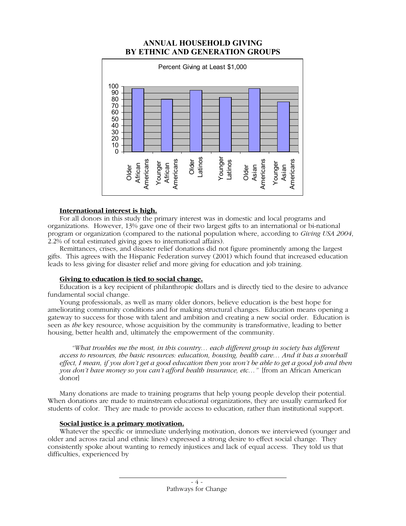# **ANNUAL HOUSEHOLD GIVING BY ETHNIC AND GENERATION GROUPS**



#### **International interest is high.**

For all donors in this study the primary interest was in domestic and local programs and organizations. However, 13% gave one of their two largest gifts to an international or bi-national program or organization (compared to the national population where, according to *Giving USA 2004*, 2.2% of total estimated giving goes to international affairs).

Remittances, crises, and disaster relief donations did not figure prominently among the largest gifts. This agrees with the Hispanic Federation survey (2001) which found that increased education leads to less giving for disaster relief and more giving for education and job training.

# **Giving to education is tied to social change.**

Education is a key recipient of philanthropic dollars and is directly tied to the desire to advance fundamental social change.

Young professionals, as well as many older donors, believe education is the best hope for ameliorating community conditions and for making structural changes. Education means opening a gateway to success for those with talent and ambition and creating a new social order. Education is seen as *the* key resource, whose acquisition by the community is transformative, leading to better housing, better health and, ultimately the empowerment of the community.

*"What troubles me the most, in this country… each different group in society has different access to resources, the basic resources: education, housing, health care… And it has a snowball effect, I mean, if you don't get a good education then you won't be able to get a good job and then you don't have money so you can't afford health insurance, etc…"* [from an African American donor]

Many donations are made to training programs that help young people develop their potential. When donations are made to mainstream educational organizations, they are usually earmarked for students of color. They are made to provide access to education, rather than institutional support.

#### **Social justice is a primary motivation.**

Whatever the specific or immediate underlying motivation, donors we interviewed (younger and older and across racial and ethnic lines) expressed a strong desire to effect social change. They consistently spoke about wanting to remedy injustices and lack of equal access. They told us that difficulties, experienced by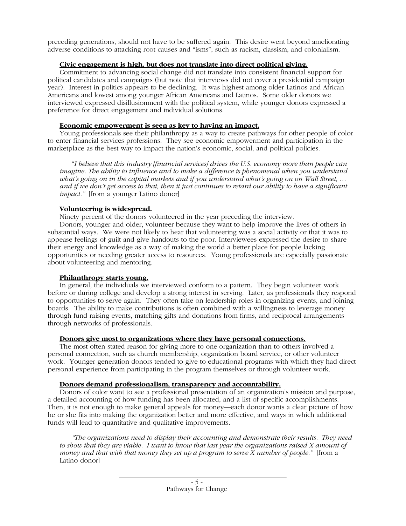preceding generations, should not have to be suffered again. This desire went beyond ameliorating adverse conditions to attacking root causes and "isms", such as racism, classism, and colonialism.

#### **Civic engagement is high, but does not translate into direct political giving.**

Commitment to advancing social change did not translate into consistent financial support for political candidates and campaigns (but note that interviews did not cover a presidential campaign year). Interest in politics appears to be declining. It was highest among older Latinos and African Americans and lowest among younger African Americans and Latinos. Some older donors we interviewed expressed disillusionment with the political system, while younger donors expressed a preference for direct engagement and individual solutions.

### **Economic empowerment is seen as key to having an impact.**

Young professionals see their philanthropy as a way to create pathways for other people of color to enter financial services professions. They see economic empowerment and participation in the marketplace as the best way to impact the nation's economic, social, and political policies.

"*I believe that this industry [financial services] drives the U.S. economy more than people can imagine. The ability to influence and to make a difference is phenomenal when you understand what's going on in the capital markets and if you understand what's going on on Wall Street, … and if we don't get access to that, then it just continues to retard our ability to have a significant impact."* [from a younger Latino donor]

# **Volunteering is widespread.**

Ninety percent of the donors volunteered in the year preceding the interview.

Donors, younger and older, volunteer because they want to help improve the lives of others in substantial ways. We were not likely to hear that volunteering was a social activity or that it was to appease feelings of guilt and give handouts to the poor. Interviewees expressed the desire to share their energy and knowledge as a way of making the world a better place for people lacking opportunities or needing greater access to resources. Young professionals are especially passionate about volunteering and mentoring.

# **Philanthropy starts young.**

In general, the individuals we interviewed conform to a pattern. They begin volunteer work before or during college and develop a strong interest in serving. Later, as professionals they respond to opportunities to serve again. They often take on leadership roles in organizing events, and joining boards. The ability to make contributions is often combined with a willingness to leverage money through fund-raising events, matching gifts and donations from firms, and reciprocal arrangements through networks of professionals.

# **Donors give most to organizations where they have personal connections.**

The most often stated reason for giving more to one organization than to others involved a personal connection, such as church membership, organization board service, or other volunteer work. Younger generation donors tended to give to educational programs with which they had direct personal experience from participating in the program themselves or through volunteer work.

# **Donors demand professionalism, transparency and accountability.**

Donors of color want to see a professional presentation of an organization's mission and purpose, a detailed accounting of how funding has been allocated, and a list of specific accomplishments. Then, it is not enough to make general appeals for money—each donor wants a clear picture of how he or she fits into making the organization better and more effective, and ways in which additional funds will lead to quantitative and qualitative improvements.

*"The organizations need to display their accounting and demonstrate their results. They need to show that they are viable. I want to know that last year the organizations raised X amount of money and that with that money they set up a program to serve X number of people.*" [from a Latino donor]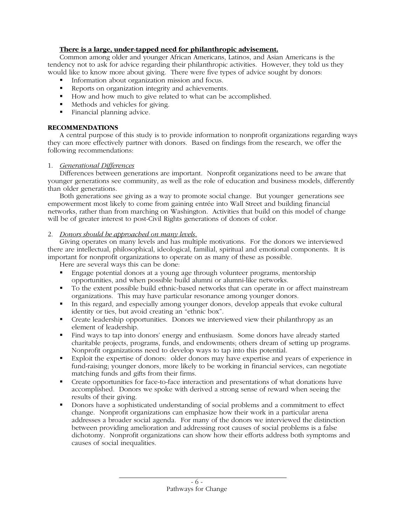# **There is a large, under-tapped need for philanthropic advisement.**

Common among older and younger African Americans, Latinos, and Asian Americans is the tendency not to ask for advice regarding their philanthropic activities. However, they told us they would like to know more about giving. There were five types of advice sought by donors:

- Information about organization mission and focus.
- Reports on organization integrity and achievements.
- How and how much to give related to what can be accomplished.
- Methods and vehicles for giving.
- Financial planning advice.

# **RECOMMENDATIONS**

A central purpose of this study is to provide information to nonprofit organizations regarding ways they can more effectively partner with donors. Based on findings from the research, we offer the following recommendations:

# 1. *Generational Differences*

Differences between generations are important. Nonprofit organizations need to be aware that younger generations see community, as well as the role of education and business models, differently than older generations.

Both generations see giving as a way to promote social change. But younger generations see empowerment most likely to come from gaining entrée into Wall Street and building financial networks, rather than from marching on Washington. Activities that build on this model of change will be of greater interest to post-Civil Rights generations of donors of color.

### 2. *Donors should be approached on many levels.*

Giving operates on many levels and has multiple motivations. For the donors we interviewed there are intellectual, philosophical, ideological, familial, spiritual and emotional components. It is important for nonprofit organizations to operate on as many of these as possible.

Here are several ways this can be done:

- Engage potential donors at a young age through volunteer programs, mentorship opportunities, and when possible build alumni or alumni-like networks.
- To the extent possible build ethnic-based networks that can operate in or affect mainstream organizations. This may have particular resonance among younger donors.
- In this regard, and especially among younger donors, develop appeals that evoke cultural identity or ties, but avoid creating an "ethnic box".
- Create leadership opportunities. Donors we interviewed view their philanthropy as an element of leadership.
- Find ways to tap into donors' energy and enthusiasm. Some donors have already started charitable projects, programs, funds, and endowments; others dream of setting up programs. Nonprofit organizations need to develop ways to tap into this potential.
- Exploit the expertise of donors: older donors may have expertise and years of experience in fund-raising; younger donors, more likely to be working in financial services, can negotiate matching funds and gifts from their firms.
- Create opportunities for face-to-face interaction and presentations of what donations have accomplished. Donors we spoke with derived a strong sense of reward when seeing the results of their giving.
- Donors have a sophisticated understanding of social problems and a commitment to effect change. Nonprofit organizations can emphasize how their work in a particular arena addresses a broader social agenda. For many of the donors we interviewed the distinction between providing amelioration and addressing root causes of social problems is a false dichotomy. Nonprofit organizations can show how their efforts address both symptoms and causes of social inequalities.